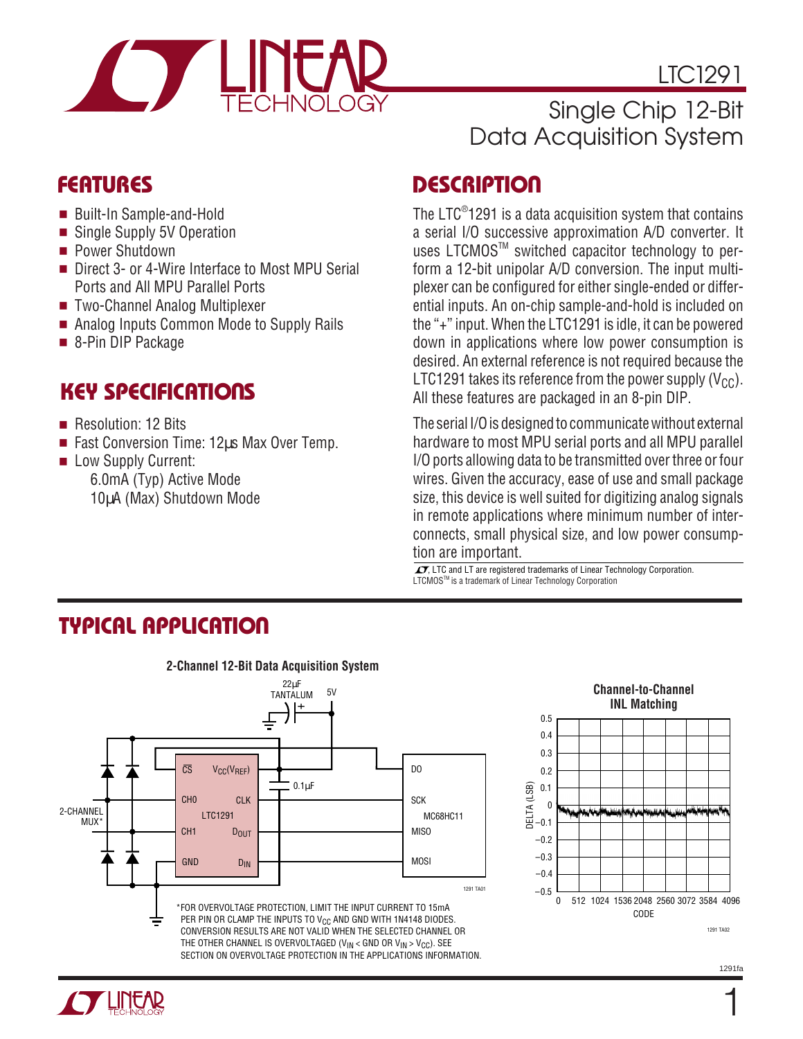

LTC1291

Single Chip 12-Bit

# Data Acquisition System

### **FEATURES DESCRIPTIO U**

The LTC® 1291 is a data acquisition system that contains a serial I/O successive approximation A/D converter. It uses LTCMOSTM switched capacitor technology to perform a 12-bit unipolar A/D conversion. The input multiplexer can be configured for either single-ended or differential inputs. An on-chip sample-and-hold is included on the "+" input. When the LTC1291 is idle, it can be powered down in applications where low power consumption is desired. An external reference is not required because the LTC1291 takes its reference from the power supply  $(V_{CC})$ . All these features are packaged in an 8-pin DIP.

The serial I/O is designed to communicate without external hardware to most MPU serial ports and all MPU parallel I/O ports allowing data to be transmitted over three or four wires. Given the accuracy, ease of use and small package size, this device is well suited for digitizing analog signals in remote applications where minimum number of interconnects, small physical size, and low power consumption are important.

LTCMOSTM is a trademark of Linear Technology Corporation  $\overline{\mathcal{I}\mathcal{I}}$ , LTC and LT are registered trademarks of Linear Technology Corporation.

## ■ Built-In Sample-and-Hold

- Single Supply 5V Operation
- Power Shutdown
- Direct 3- or 4-Wire Interface to Most MPU Serial Ports and All MPU Parallel Ports
- Two-Channel Analog Multiplexer
- Analog Inputs Common Mode to Supply Rails
- 8-Pin DIP Package

### **KEY SPECIFICATIONS**

- Resolution: 12 Bits
- Fast Conversion Time: 12us Max Over Temp.
- Low Supply Current: 6.0mA (Typ) Active Mode 10µA (Max) Shutdown Mode

### **TYPICAL APPLICATION**



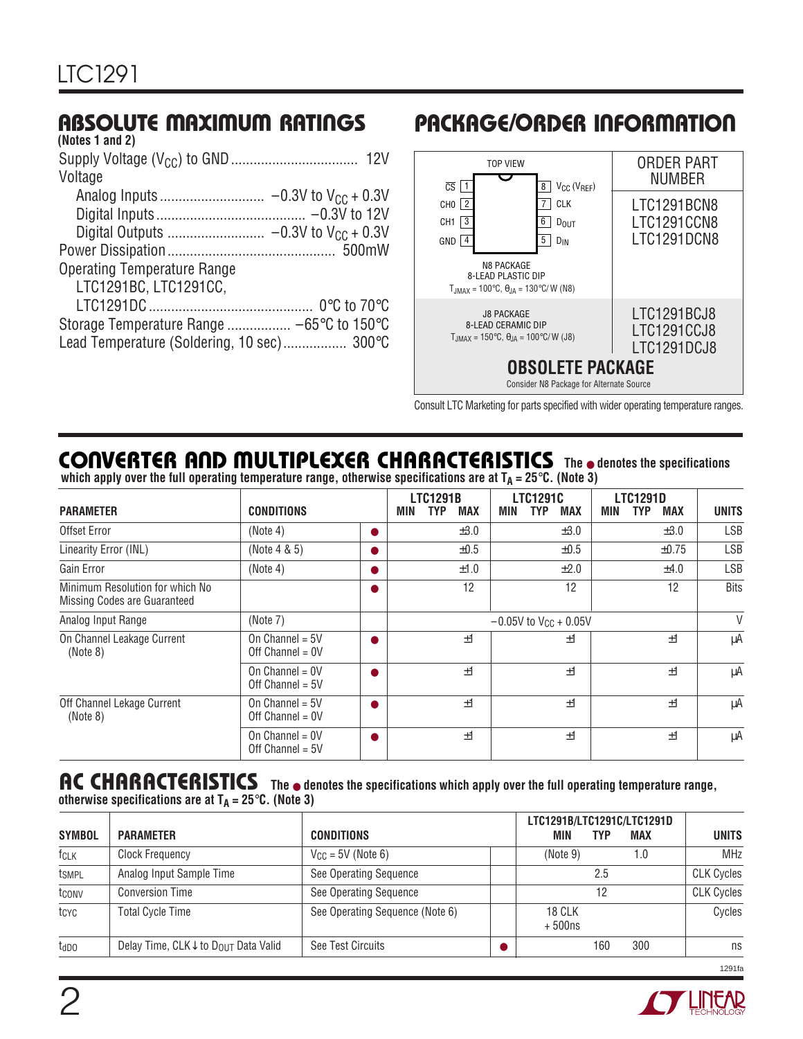| (Notes 1 and 2)                            |
|--------------------------------------------|
|                                            |
| Voltage                                    |
|                                            |
|                                            |
|                                            |
|                                            |
| <b>Operating Temperature Range</b>         |
| LTC1291BC, LTC1291CC,                      |
|                                            |
|                                            |
| Lead Temperature (Soldering, 10 sec) 300°C |
|                                            |

### **MBSOLUTE MAXIMUM RATINGS PACKAGE/ORDER INFORMATION**



Consult LTC Marketing for parts specified with wider operating temperature ranges.

# **CONVERTER AND MULTIPLEXER CHARACTERISTICS** The **•** denotes the specifications

| <b>PARAMETER</b>                                                | <b>CONDITIONS</b>                       |           | <b>LTC1291B</b><br><b>MAX</b><br><b>MIN</b><br>TYP | <b>LTC1291C</b><br><b>TYP</b><br><b>MAX</b><br><b>MIN</b> | <b>LTC1291D</b><br>MIN<br>TYP<br><b>MAX</b> | <b>UNITS</b> |
|-----------------------------------------------------------------|-----------------------------------------|-----------|----------------------------------------------------|-----------------------------------------------------------|---------------------------------------------|--------------|
| Offset Error                                                    | (Note 4)                                | $\bullet$ | $\pm 3.0$                                          | $\pm 3.0$                                                 | $\pm 3.0$                                   | <b>LSB</b>   |
| Linearity Error (INL)                                           | (Note 4 & 5)                            |           | ±0.5                                               | ±0.5                                                      | $\pm 0.75$                                  | <b>LSB</b>   |
| Gain Error                                                      | (Note 4)                                |           | ±1.0                                               | ±2.0                                                      | ±4.0                                        | <b>LSB</b>   |
| Minimum Resolution for which No<br>Missing Codes are Guaranteed |                                         |           | 12                                                 | 12                                                        | 12                                          | <b>Bits</b>  |
| Analog Input Range                                              | (Note 7)                                |           | $-0.05V$ to $V_{CC}$ + 0.05V                       |                                                           |                                             |              |
| On Channel Leakage Current<br>(Note 8)                          | On Channel = $5V$<br>Off Channel = $0V$ | ●         | ±1                                                 | ±1                                                        | ±1                                          | μA           |
|                                                                 | On Channel = $0V$<br>Off Channel = $5V$ |           | ±1                                                 | ±1                                                        | ±1                                          | μA           |
| Off Channel Lekage Current<br>(Note 8)                          | On Channel = $5V$<br>Off Channel = $0V$ | Ω         | ±1                                                 | ±1                                                        | ±1                                          | μA           |
|                                                                 | On Channel = $0V$<br>Off Channel = $5V$ |           | ±1                                                 | ±1                                                        | ±1                                          | μA           |

which apply over the full operating temperature range, otherwise specifications are at T<sub>A</sub> = 25°C. (Note 3)

#### **AC CHARACTERISTICS The** ● **denotes the specifications which apply over the full operating temperature range, otherwise specifications are at**  $T_A = 25^\circ C$ **. (Note 3)**

|               |                                     |                                 | LTC1291B/LTC1291C/LTC1291D |            |                   |
|---------------|-------------------------------------|---------------------------------|----------------------------|------------|-------------------|
| <b>SYMBOL</b> | <b>PARAMETER</b>                    | <b>CONDITIONS</b>               | MIN<br>TYP                 | <b>MAX</b> | <b>UNITS</b>      |
| fcLK          | <b>Clock Frequency</b>              | $V_{CC} = 5V$ (Note 6)          | (Note 9)                   | 1.0        | <b>MHz</b>        |
| tsmpL         | Analog Input Sample Time            | See Operating Sequence          | 2.5                        |            | <b>CLK Cycles</b> |
| tconv         | <b>Conversion Time</b>              | See Operating Sequence          | 12                         |            | <b>CLK Cycles</b> |
| tcyc          | <b>Total Cycle Time</b>             | See Operating Sequence (Note 6) | 18 CLK<br>$+500$ ns        |            | Cycles            |
| tdDO          | Delay Time, CLK↓ to Dou⊤ Data Valid | See Test Circuits               | 160                        | 300        | ns                |

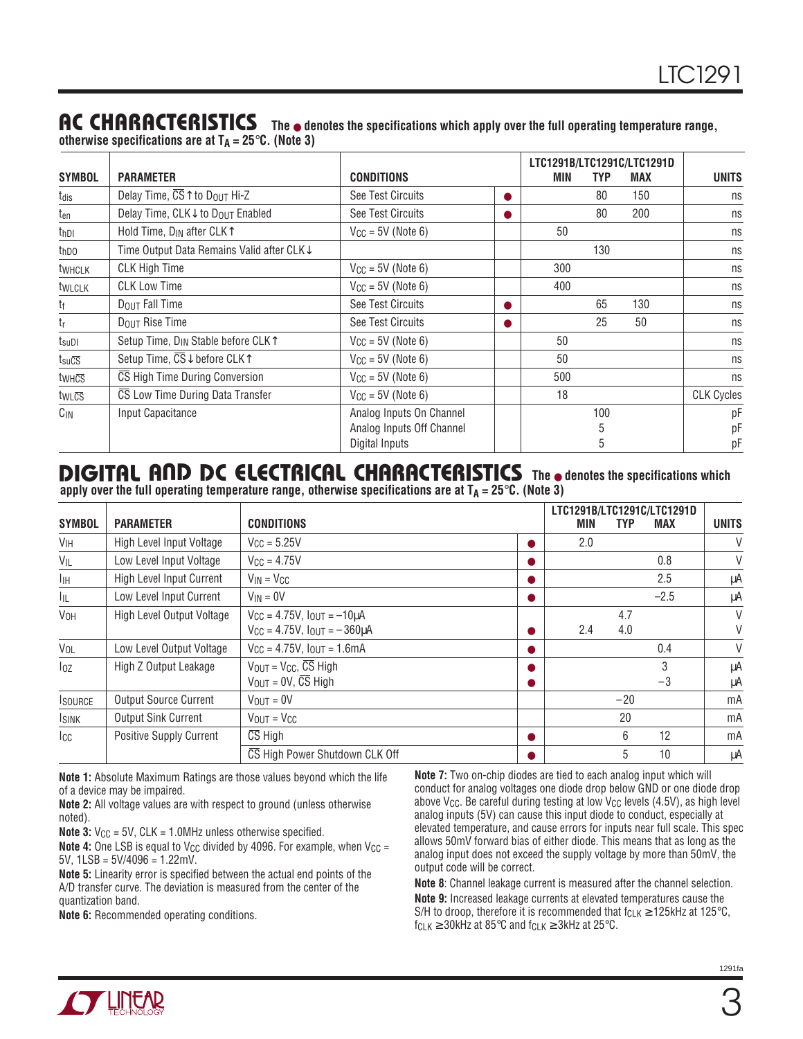**AC CHARACTERISTICS The** ● **denotes the specifications which apply over the full operating temperature range, otherwise specifications are at**  $T_A = 25^\circ \text{C}$ **. (Note 3)** 

| <b>SYMBOL</b>                        | <b>PARAMETER</b>                                           | <b>CONDITIONS</b>         |    | MIN | TYP | LTC1291B/LTC1291C/LTC1291D<br><b>MAX</b> | <b>UNITS</b>      |
|--------------------------------------|------------------------------------------------------------|---------------------------|----|-----|-----|------------------------------------------|-------------------|
| tdis                                 | Delay Time, CST to Dout Hi-Z                               | See Test Circuits         | D. |     | 80  | 150                                      | ns                |
| ten                                  | Delay Time, CLK↓ to Dou⊤ Enabled                           | See Test Circuits         | n. |     | 80  | 200                                      | ns                |
| thDI                                 | Hold Time, D <sub>IN</sub> after CLKT                      | $V_{CC} = 5V$ (Note 6)    |    | 50  |     |                                          | ns                |
| thDO                                 | Time Output Data Remains Valid after CLK↓                  |                           |    |     | 130 |                                          | ns                |
| twhclk                               | <b>CLK High Time</b>                                       | $V_{CC} = 5V$ (Note 6)    |    | 300 |     |                                          | ns                |
| twlclk                               | <b>CLK Low Time</b>                                        | $V_{CC} = 5V$ (Note 6)    |    | 400 |     |                                          | ns                |
| tf                                   | DOUT Fall Time                                             | See Test Circuits         |    |     | 65  | 130                                      | ns                |
| $t_{\text{r}}$                       | DOUT Rise Time                                             | See Test Circuits         |    |     | 25  | 50                                       | ns                |
| t <sub>suDI</sub>                    | Setup Time, D <sub>IN</sub> Stable before CLK <sup>T</sup> | $V_{CC} = 5V$ (Note 6)    |    | 50  |     |                                          | ns                |
| $t_{\text{su} \overline{\text{CS}}}$ | Setup Time, CS↓ before CLK↑                                | $V_{CC} = 5V$ (Note 6)    |    | 50  |     |                                          | ns                |
| twhcs                                | CS High Time During Conversion                             | $V_{CC}$ = 5V (Note 6)    |    | 500 |     |                                          | ns                |
| twlcs                                | CS Low Time During Data Transfer                           | $V_{CC} = 5V$ (Note 6)    |    | 18  |     |                                          | <b>CLK Cycles</b> |
| $C_{IN}$                             | Input Capacitance                                          | Analog Inputs On Channel  |    |     | 100 |                                          | pF                |
|                                      |                                                            | Analog Inputs Off Channel |    |     |     |                                          | рF                |
|                                      |                                                            | Digital Inputs            |    |     | 5   |                                          | рF                |

#### **DIGITAL AND DC ELECTRICAL CHARACTERISTICS** The  $\bullet$  denotes the specifications which **apply over the full operating temperature range, otherwise specifications are at TA = 25**°**C. (Note 3)**

|                       |                                 |                                                     |           | LTC1291B/LTC1291C/LTC1291D |            |        |              |
|-----------------------|---------------------------------|-----------------------------------------------------|-----------|----------------------------|------------|--------|--------------|
| <b>SYMBOL</b>         | <b>PARAMETER</b>                | <b>CONDITIONS</b>                                   |           | MIN                        | <b>TYP</b> | MAX    | <b>UNITS</b> |
| V <sub>IH</sub>       | High Level Input Voltage        | $V_{\text{CC}} = 5.25V$                             | $\bullet$ | 2.0                        |            |        | V            |
| $V_{IL}$              | Low Level Input Voltage         | $V_{\text{CC}} = 4.75V$                             | O         |                            |            | 0.8    | V            |
| ĪЩ                    | <b>High Level Input Current</b> | $V_{IN} = V_{CC}$                                   | ●         |                            |            | 2.5    | μA           |
| Ιщ                    | Low Level Input Current         | $V_{IN} = 0V$                                       | $\bullet$ |                            |            | $-2.5$ | μA           |
| <b>V<sub>OH</sub></b> | High Level Output Voltage       | $V_{CC} = 4.75V$ , $I_{OUT} = -10\mu A$             |           |                            | 4.7        |        | V            |
|                       |                                 | $V_{CC} = 4.75V$ , $I_{OUT} = -360 \mu A$           |           | 2.4                        | 4.0        |        | V            |
| <b>V<sub>OL</sub></b> | Low Level Output Voltage        | $V_{CC} = 4.75V$ , $I_{OUT} = 1.6mA$                | ●         |                            |            | 0.4    | V            |
| 1 <sub>0Z</sub>       | High Z Output Leakage           | $V_{OUT} = V_{CC}$ , $\overline{CS}$ High           | ●         |                            |            | 3      | μA           |
|                       |                                 | $V_{\text{OUT}} = 0V$ , $\overline{\text{CS}}$ High |           |                            |            | $-3$   | μA           |
| <b>ISOURCE</b>        | <b>Output Source Current</b>    | $V_{\text{OUT}} = 0V$                               |           |                            | $-20$      |        | mA           |
| <b>ISINK</b>          | <b>Output Sink Current</b>      | $V_{OUT} = V_{CC}$                                  |           |                            | 20         |        | mA           |
| Icc                   | <b>Positive Supply Current</b>  | $\overline{\text{CS}}$ High                         | $\bullet$ |                            | 6          | 12     | mA           |
|                       |                                 | CS High Power Shutdown CLK Off                      | ●         |                            | 5          | 10     | μA           |

**Note 1:** Absolute Maximum Ratings are those values beyond which the life of a device may be impaired.

**Note 2:** All voltage values are with respect to ground (unless otherwise noted).

**Note 3:**  $V_{CC} = 5V$ ,  $CLK = 1.0MHz$  unless otherwise specified.

**Note 4:** One LSB is equal to V<sub>CC</sub> divided by 4096. For example, when V<sub>CC</sub> =  $5V$ ,  $1LSB = 5V/4096 = 1.22mV$ .

**Note 5:** Linearity error is specified between the actual end points of the A/D transfer curve. The deviation is measured from the center of the quantization band.

**Note 6:** Recommended operating conditions.

**Note 7:** Two on-chip diodes are tied to each analog input which will conduct for analog voltages one diode drop below GND or one diode drop above V<sub>CC</sub>. Be careful during testing at low V<sub>CC</sub> levels (4.5V), as high level analog inputs (5V) can cause this input diode to conduct, especially at elevated temperature, and cause errors for inputs near full scale. This spec allows 50mV forward bias of either diode. This means that as long as the analog input does not exceed the supply voltage by more than 50mV, the output code will be correct.

**Note 8**: Channel leakage current is measured after the channel selection. **Note 9:** Increased leakage currents at elevated temperatures cause the S/H to droop, therefore it is recommended that  $f_{CLK} \ge 125$ kHz at 125°C,  $f_{CLK} \geq 30$ kHz at 85°C and  $f_{CLK} \geq 3$ kHz at 25°C.

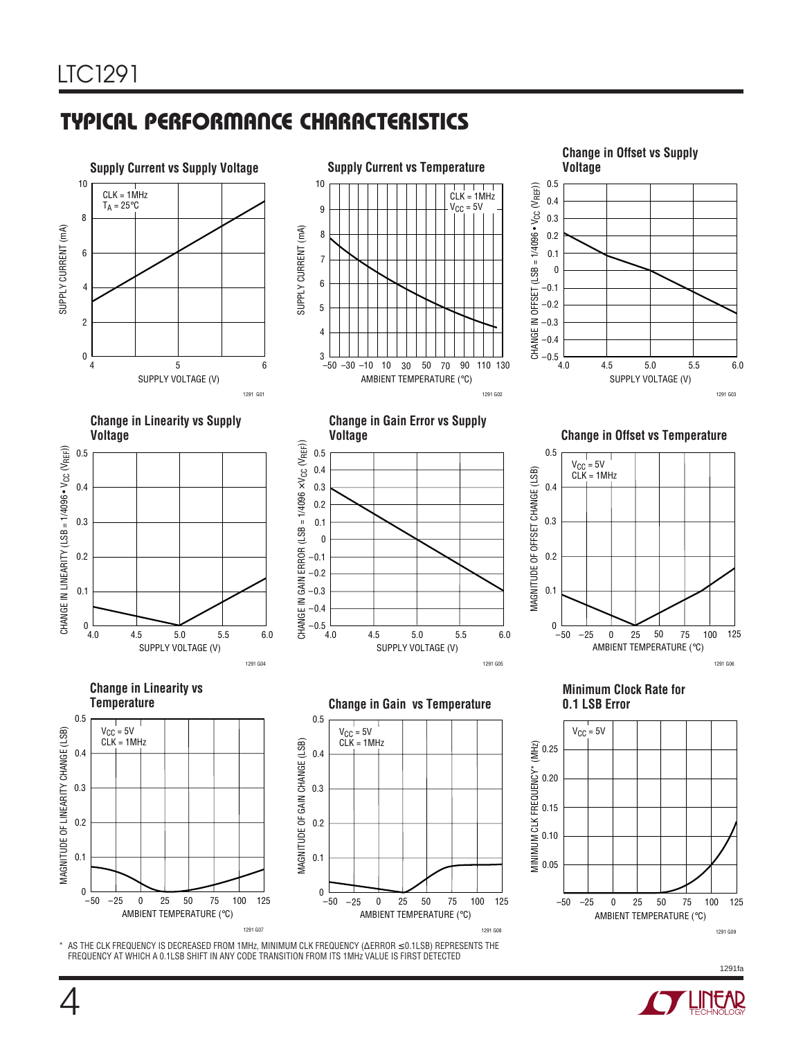### **C C HARA TERISTICS U W TYPICAL PERFOR A CE**



\* AS THE CLK FREQUENCY IS DECREASED FROM 1MHz, MINIMUM CLK FREQUENCY (∆ERROR ≤ 0.1LSB) REPRESENTS THE FREQUENCY AT WHICH A 0.1LSB SHIFT IN ANY CODE TRANSITION FROM ITS 1MHz VALUE IS FIRST DETECTED

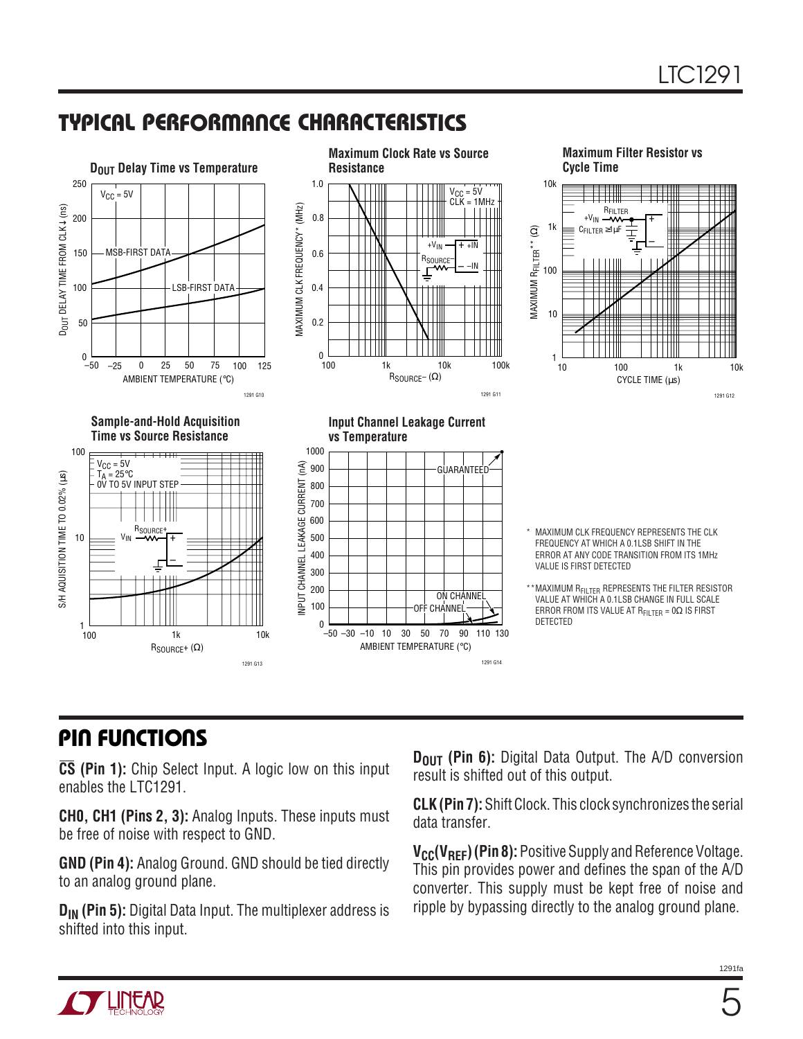### **C C HARA TERISTICS U W TYPICAL PERFOR A CE**



### **PIN FUNCTIONS**

**CS (Pin 1):** Chip Select Input. A logic low on this input enables the LTC1291.

**CH0, CH1 (Pins 2, 3):** Analog Inputs. These inputs must be free of noise with respect to GND.

**GND (Pin 4):** Analog Ground. GND should be tied directly to an analog ground plane.

**D<sub>IN</sub>** (Pin 5): Digital Data Input. The multiplexer address is shifted into this input.

**D<sub>OUT</sub>** (Pin 6): Digital Data Output. The A/D conversion result is shifted out of this output.

**CLK (Pin 7):** Shift Clock. This clock synchronizes the serial data transfer.

**V<sub>CC</sub>(V<sub>RFF</sub>) (Pin 8):** Positive Supply and Reference Voltage. This pin provides power and defines the span of the A/D converter. This supply must be kept free of noise and ripple by bypassing directly to the analog ground plane.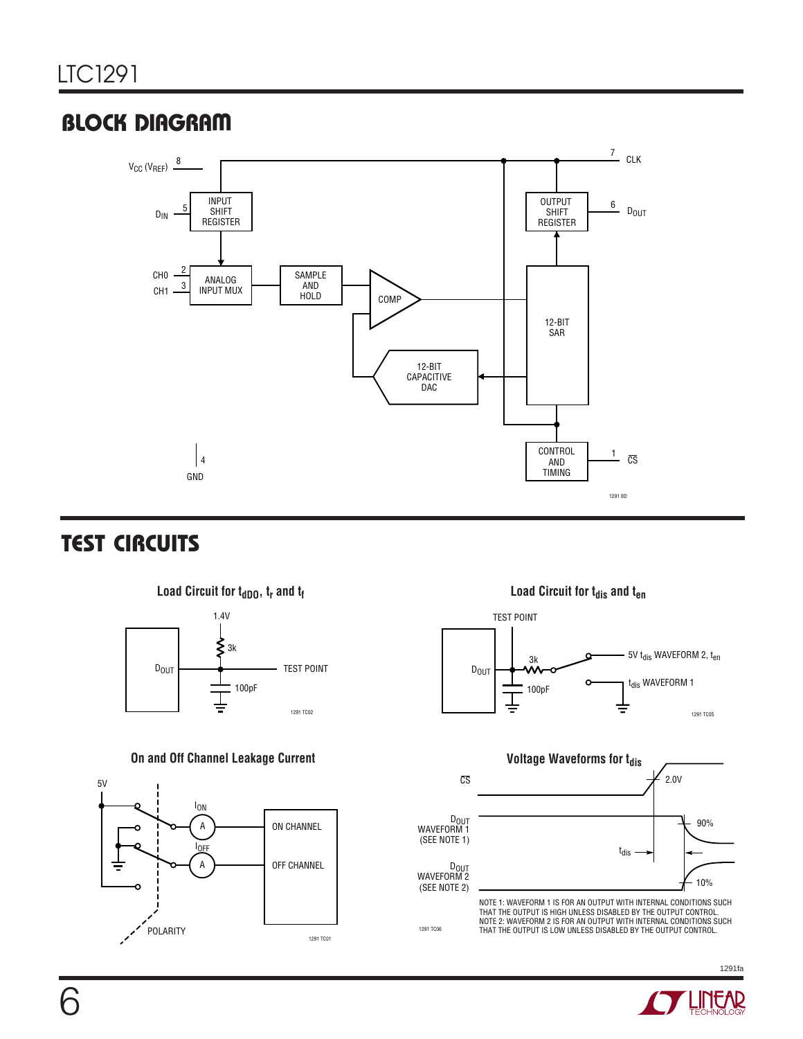### **BLOCK DIAGRAM**



### **TEST CIRCUITS**



#### **On and Off Channel Leakage Current**



TEST POINT 5V t<sub>dis</sub> WAVEFORM 2, t<sub>en</sub>  $\frac{3k}{4}$  $D_{\text{OUT}}$ t<sub>dis</sub> WAVEFORM 1 100pF Ţ ⋷ 1291 TC05 **Voltage Waveforms for t<sub>dis</sub>** 2.0V CS D<sub>OUT</sub><br>WAVEFORM 1<br>(SEE NOTE 1) 90% tdis D<sub>OUT</sub><br>2 WAVEFORM 10% (SEE NOTE 2)

NOTE 1: WAVEFORM 1 IS FOR AN OUTPUT WITH INTERNAL CONDITIONS SUCH THAT THE OUTPUT IS HIGH UNLESS DISABLED BY THE OUTPUT CONTROL. NOTE 2: WAVEFORM 2 IS FOR AN OUTPUT WITH INTERNAL CONDITIONS SUCH 1291 TC06 THAT THE OUTPUT IS LOW UNLESS DISABLED BY THE OUTPUT CONTROL.

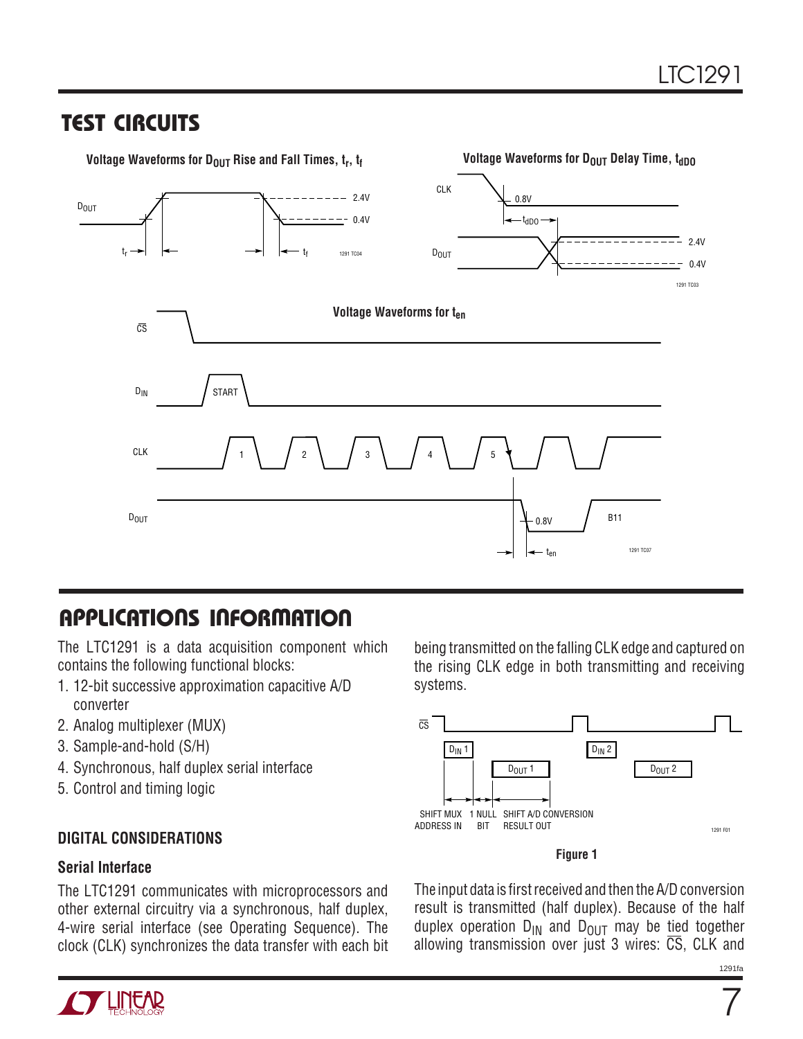### **TEST CIRCUITS**



### **U A S O PPLICATI W U U I FOR ATIO**

The LTC1291 is a data acquisition component which contains the following functional blocks:

- 1. 12-bit successive approximation capacitive A/D converter
- 2. Analog multiplexer (MUX)
- 3. Sample-and-hold (S/H)
- 4. Synchronous, half duplex serial interface
- 5. Control and timing logic

### **DIGITAL CONSIDERATIONS**

#### **Serial Interface**

The LTC1291 communicates with microprocessors and other external circuitry via a synchronous, half duplex, 4-wire serial interface (see Operating Sequence). The clock (CLK) synchronizes the data transfer with each bit being transmitted on the falling CLK edge and captured on the rising CLK edge in both transmitting and receiving systems.



**Figure 1**

The input data is first received and then the A/D conversion result is transmitted (half duplex). Because of the half duplex operation  $D_{\text{IN}}$  and  $D_{\text{OUT}}$  may be tied together allowing transmission over just 3 wires:  $\overline{CS}$ , CLK and



7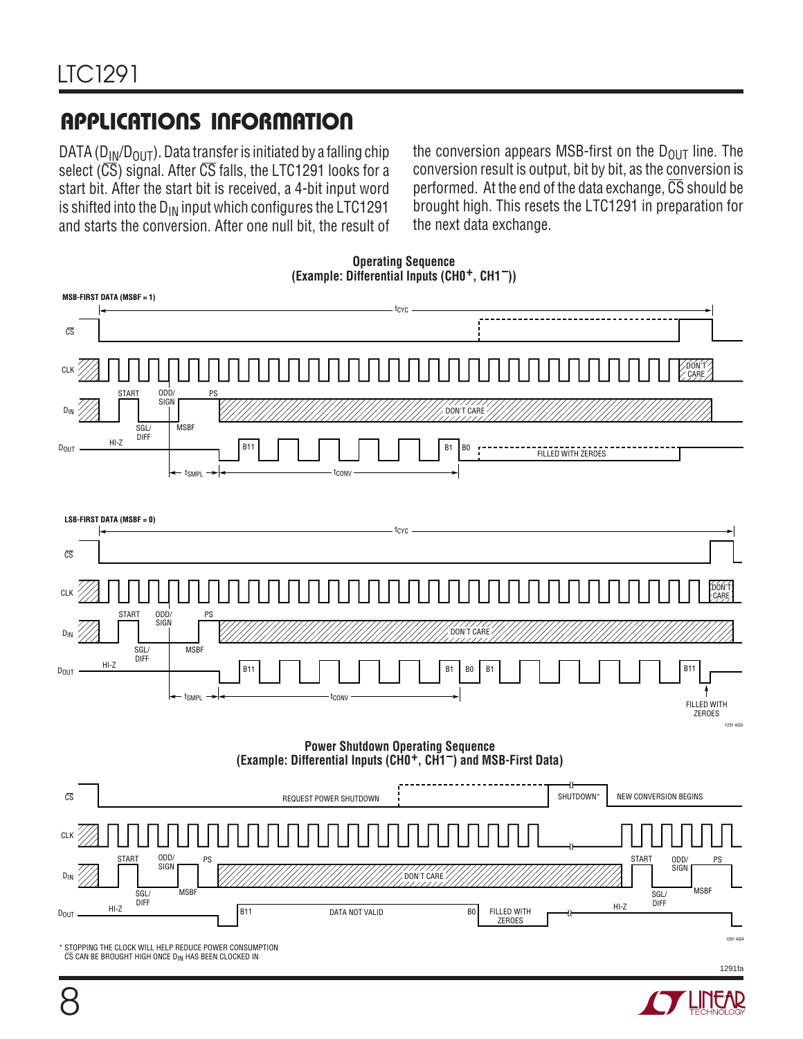DATA ( $D_{IN}/D_{OUT}$ ). Data transfer is initiated by a falling chip select  $(\overrightarrow{CS})$  signal. After  $\overrightarrow{CS}$  falls, the LTC1291 looks for a start bit. After the start bit is received, a 4-bit input word is shifted into the  $D_{IN}$  input which configures the LTC1291 and starts the conversion. After one null bit, the result of the conversion appears MSB-first on the  $D_{OUT}$  line. The conversion result is output, bit by bit, as the conversion is performed. At the end of the data exchange,  $\overline{CS}$  should be brought high. This resets the LTC1291 in preparation for the next data exchange.





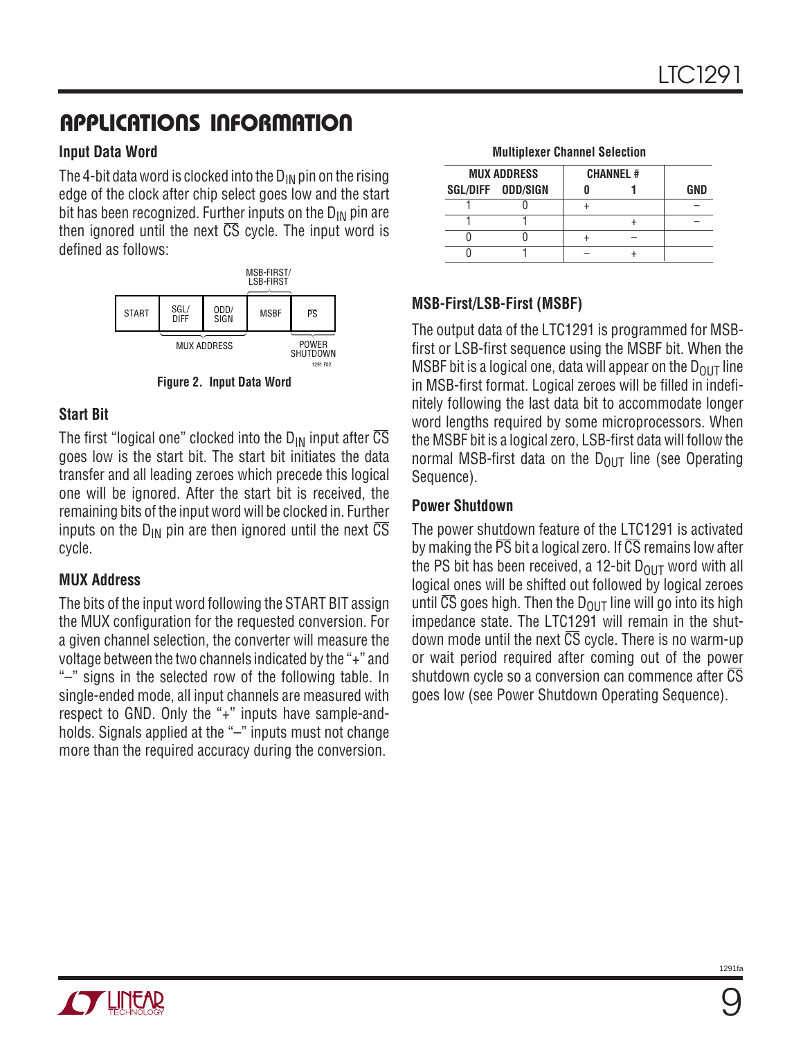#### **Input Data Word**

The 4-bit data word is clocked into the  $D_{IN}$  pin on the rising edge of the clock after chip select goes low and the start bit has been recognized. Further inputs on the  $D_{IN}$  pin are then ignored until the next  $\overline{\text{CS}}$  cycle. The input word is defined as follows:



**Figure 2. Input Data Word**

#### **Start Bit**

The first "logical one" clocked into the  $D_{IN}$  input after CS goes low is the start bit. The start bit initiates the data transfer and all leading zeroes which precede this logical one will be ignored. After the start bit is received, the remaining bits of the input word will be clocked in. Further inputs on the  $D_{IN}$  pin are then ignored until the next  $\overline{CS}$ cycle.

#### **MUX Address**

The bits of the input word following the START BIT assign the MUX configuration for the requested conversion. For a given channel selection, the converter will measure the voltage between the two channels indicated by the "+" and "–" signs in the selected row of the following table. In single-ended mode, all input channels are measured with respect to GND. Only the "+" inputs have sample-andholds. Signals applied at the "-" inputs must not change more than the required accuracy during the conversion.

|  | <b>Multiplexer Channel Selection</b> |
|--|--------------------------------------|
|  |                                      |

| <b>MUX ADDRESS</b> | <b>CHANNEL #</b> |  |     |
|--------------------|------------------|--|-----|
| SGL/DIFF ODD/SIGN  |                  |  | GND |
|                    |                  |  |     |
|                    |                  |  |     |
|                    |                  |  |     |
|                    |                  |  |     |

#### **MSB-First/LSB-First (MSBF)**

The output data of the LTC1291 is programmed for MSBfirst or LSB-first sequence using the MSBF bit. When the MSBF bit is a logical one, data will appear on the  $D_{\text{OUT}}$  line in MSB-first format. Logical zeroes will be filled in indefinitely following the last data bit to accommodate longer word lengths required by some microprocessors. When the MSBF bit is a logical zero, LSB-first data will follow the normal MSB-first data on the  $D_{OUT}$  line (see Operating Sequence).

#### **Power Shutdown**

The power shutdown feature of the LTC1291 is activated by making the  $\overline{PS}$  bit a logical zero. If  $\overline{CS}$  remains low after the PS bit has been received, a 12-bit  $D_{OUT}$  word with all logical ones will be shifted out followed by logical zeroes until  $\overline{\text{CS}}$  goes high. Then the D<sub>OUT</sub> line will go into its high impedance state. The LTC1291 will remain in the shutdown mode until the next  $\overline{\text{CS}}$  cycle. There is no warm-up or wait period required after coming out of the power shutdown cycle so a conversion can commence after CS goes low (see Power Shutdown Operating Sequence).

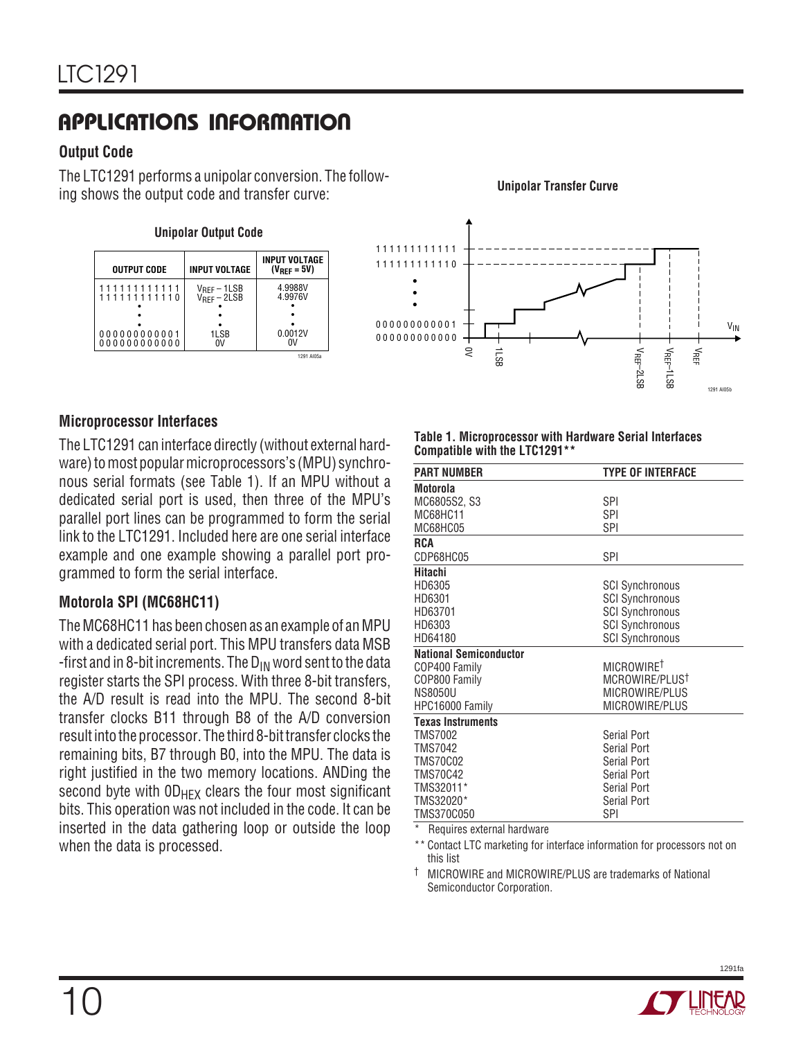#### **Output Code**

The LTC1291 performs a unipolar conversion. The following shows the output code and transfer curve:

#### **Unipolar Output Code**

| <b>OUTPUT CODE</b>           | <b>INPUT VOLTAGE</b>                               | <b>INPUT VOLTAGE</b><br>$(V_{RFF} = 5V)$ |
|------------------------------|----------------------------------------------------|------------------------------------------|
| 111111111111<br>111111111110 | V <sub>REF</sub> – 1LSB<br>V <sub>REF</sub> – 2LSB | 4.9988V<br>4.9976V                       |
|                              |                                                    |                                          |
| 000000000001<br>000000000000 | 1LSB<br>o٧                                         | 0.0012V                                  |
|                              |                                                    | 1291 AI05a                               |



**Unipolar Transfer Curve**

#### **Microprocessor Interfaces**

The LTC1291 can interface directly (without external hardware) to most popular microprocessors's (MPU) synchronous serial formats (see Table 1). If an MPU without a dedicated serial port is used, then three of the MPU's parallel port lines can be programmed to form the serial link to the LTC1291. Included here are one serial interface example and one example showing a parallel port programmed to form the serial interface.

#### **Motorola SPI (MC68HC11)**

The MC68HC11 has been chosen as an example of an MPU with a dedicated serial port. This MPU transfers data MSB -first and in 8-bit increments. The  $D_{IN}$  word sent to the data register starts the SPI process. With three 8-bit transfers, the A/D result is read into the MPU. The second 8-bit transfer clocks B11 through B8 of the A/D conversion result into the processor. The third 8-bit transfer clocks the remaining bits, B7 through B0, into the MPU. The data is right justified in the two memory locations. ANDing the second byte with  $0D_{HFX}$  clears the four most significant bits. This operation was not included in the code. It can be inserted in the data gathering loop or outside the loop when the data is processed.

#### **Table 1. Microprocessor with Hardware Serial Interfaces Compatible with the LTC1291\*\***

| <b>PART NUMBER</b>            | <b>TYPE OF INTERFACE</b> |
|-------------------------------|--------------------------|
| <b>Motorola</b>               |                          |
| MC6805S2, S3                  | <b>SPI</b>               |
| MC68HC11                      | SPI                      |
| MC68HC05                      | <b>SPI</b>               |
| <b>RCA</b>                    |                          |
| CDP68HC05                     | <b>SPI</b>               |
| Hitachi                       |                          |
| HD6305                        | <b>SCI Synchronous</b>   |
| HD6301                        | <b>SCI Synchronous</b>   |
| HD63701                       | <b>SCI Synchronous</b>   |
| HD6303                        | <b>SCI Synchronous</b>   |
| HD64180                       | <b>SCI Synchronous</b>   |
| <b>National Semiconductor</b> |                          |
| COP400 Family                 | MICROWIRE <sup>†</sup>   |
| COP800 Family                 | MCROWIRE/PLUST           |
| <b>NS8050U</b>                | MICROWIRE/PLUS           |
| HPC16000 Family               | MICROWIRE/PLUS           |
| <b>Texas Instruments</b>      |                          |
| <b>TMS7002</b>                | Serial Port              |
| <b>TMS7042</b>                | Serial Port              |
| <b>TMS70C02</b>               | Serial Port              |
| <b>TMS70C42</b>               | Serial Port              |
| TMS32011*                     | Serial Port              |
| TMS32020*                     | Serial Port              |
| TMS370C050                    | <b>SPI</b>               |

Requires external hardware

\*\* Contact LTC marketing for interface information for processors not on this list

† MICROWIRE and MICROWIRE/PLUS are trademarks of National Semiconductor Corporation.

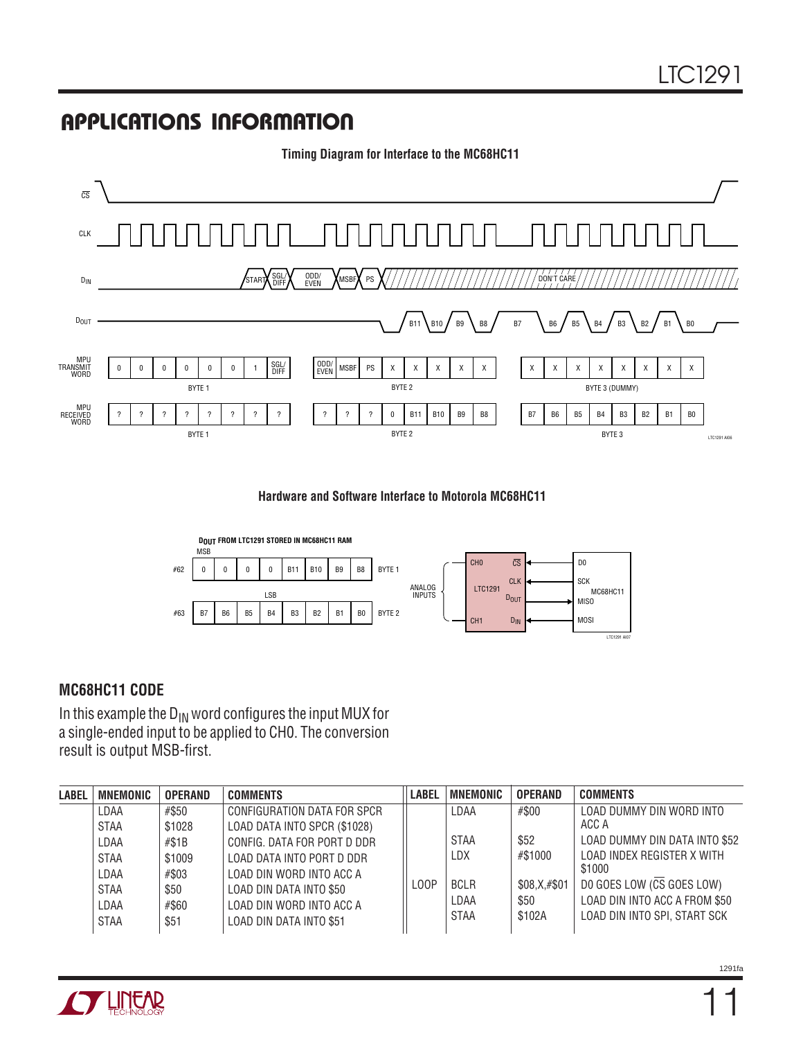### **APPLICATIONS INFORMATION**



**Hardware and Software Interface to Motorola MC68HC11**



#### **MC68HC11 CODE**

In this example the  $D_{IN}$  word configures the input MUX for a single-ended input to be applied to CH0. The conversion result is output MSB-first.

| <b>LABEL</b> | <b>MNEMONIC</b> | <b>OPERAND</b> | <b>COMMENTS</b>              | LABEL | <b>MNEMONIC</b> | <b>OPERAND</b> | <b>COMMENTS</b>               |
|--------------|-----------------|----------------|------------------------------|-------|-----------------|----------------|-------------------------------|
|              | LDAA            | #\$50          | CONFIGURATION DATA FOR SPCR  |       | LDAA            | #\$00          | LOAD DUMMY DIN WORD INTO      |
|              | <b>STAA</b>     | \$1028         | LOAD DATA INTO SPCR (\$1028) |       |                 |                | ACC A                         |
|              | LDAA            | #S1B           | CONFIG. DATA FOR PORT D DDR  |       | <b>STAA</b>     | \$52           | LOAD DUMMY DIN DATA INTO \$52 |
|              | <b>STAA</b>     | \$1009         | LOAD DATA INTO PORT D DDR    |       | LDX             | #\$1000        | LOAD INDEX REGISTER X WITH    |
|              | LDAA            | #\$03          | LOAD DIN WORD INTO ACC A     |       |                 |                | \$1000                        |
|              | <b>STAA</b>     | \$50           | LOAD DIN DATA INTO \$50      | LOOP  | <b>BCLR</b>     | \$08, X, #\$01 | DO GOES LOW (CS GOES LOW)     |
|              | LDAA            | #\$60          | LOAD DIN WORD INTO ACC A     |       | LDAA            | \$50           | LOAD DIN INTO ACC A FROM \$50 |
|              | <b>STAA</b>     | \$51           | LOAD DIN DATA INTO \$51      |       | <b>STAA</b>     | \$102A         | LOAD DIN INTO SPI, START SCK  |
|              |                 |                |                              |       |                 |                |                               |



11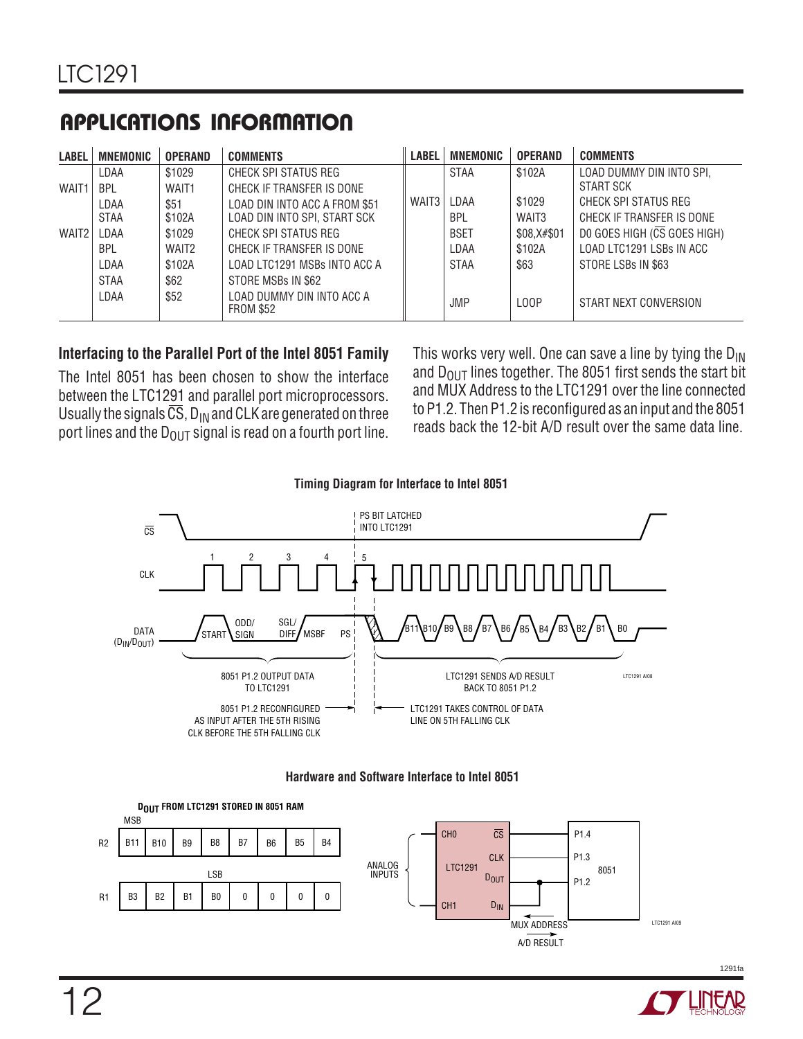| <b>LABEL</b>      | MNEMONIC    | <b>OPERAND</b>    | <b>COMMENTS</b>                               | <b>LABEL</b> | <b>MNEMONIC</b> | <b>OPERAND</b>    | <b>COMMENTS</b>             |
|-------------------|-------------|-------------------|-----------------------------------------------|--------------|-----------------|-------------------|-----------------------------|
|                   | LDAA        | \$1029            | CHECK SPI STATUS REG                          |              | <b>STAA</b>     | \$102A            | LOAD DUMMY DIN INTO SPI.    |
| WAIT <sub>1</sub> | <b>BPI</b>  | WAIT1             | CHECK IF TRANSFER IS DONE                     |              |                 |                   | START SCK                   |
|                   | I DAA       | \$51              | LOAD DIN INTO ACC A FROM \$51                 | WAIT3        | LDAA            | \$1029            | CHECK SPI STATUS REG        |
|                   | <b>STAA</b> | \$102A            | LOAD DIN INTO SPI, START SCK                  |              | <b>BPL</b>      | WAIT <sub>3</sub> | CHECK IF TRANSFER IS DONE   |
| WAIT2             | I DAA       | \$1029            | CHECK SPI STATUS REG                          |              | <b>BSET</b>     | \$08, X#\$01      | DO GOES HIGH (CS GOES HIGH) |
|                   | <b>BPL</b>  | WAIT <sub>2</sub> | CHECK IF TRANSFER IS DONE                     |              | LDAA            | \$102A            | LOAD LTC1291 LSBs IN ACC    |
|                   | LDAA        | \$102A            | LOAD LTC1291 MSBs INTO ACC A                  |              | <b>STAA</b>     | \$63              | STORE LSBs IN \$63          |
|                   | <b>STAA</b> | \$62              | STORE MSBs IN \$62                            |              |                 |                   |                             |
|                   | LDAA        | \$52              | LOAD DUMMY DIN INTO ACC A<br><b>FROM \$52</b> |              | <b>JMP</b>      | LOOP              | START NEXT CONVERSION       |

#### **Interfacing to the Parallel Port of the Intel 8051 Family**

The Intel 8051 has been chosen to show the interface between the LTC1291 and parallel port microprocessors. Usually the signals  $\overline{CS}$ , D<sub>IN</sub> and CLK are generated on three port lines and the  $D_{OUT}$  signal is read on a fourth port line.

This works very well. One can save a line by tying the  $D_{IN}$ and  $D_{OUT}$  lines together. The 8051 first sends the start bit and MUX Address to the LTC1291 over the line connected to P1.2. Then P1.2 is reconfigured as an input and the 8051 reads back the 12-bit A/D result over the same data line.







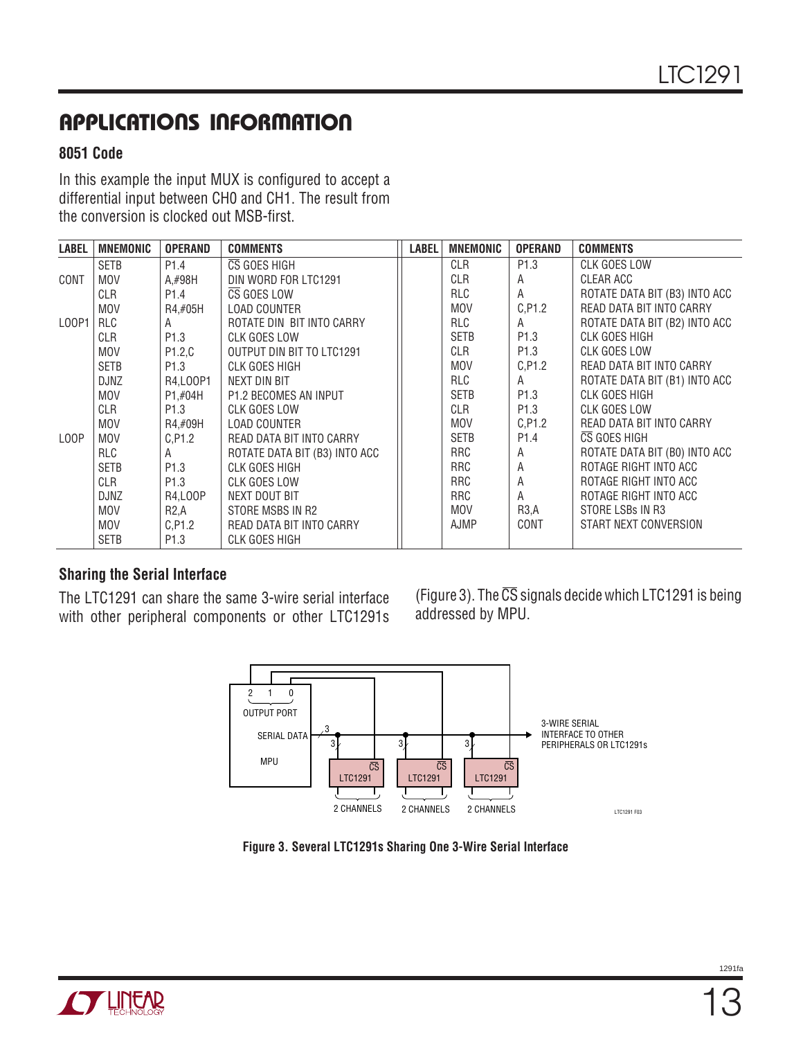#### **8051 Code**

In this example the input MUX is configured to accept a differential input between CH0 and CH1. The result from the conversion is clocked out MSB-first.

| <b>LABEL</b> | <b>MNEMONIC</b> | <b>OPERAND</b>   | <b>COMMENTS</b>               | <b>LABEL</b> | <b>MNEMONIC</b> | <b>OPERAND</b>   | <b>COMMENTS</b>               |
|--------------|-----------------|------------------|-------------------------------|--------------|-----------------|------------------|-------------------------------|
|              | <b>SETB</b>     | P <sub>1.4</sub> | CS GOES HIGH                  |              | CLR             | P <sub>1.3</sub> | CLK GOES LOW                  |
| CONT         | <b>MOV</b>      | A,#98H           | DIN WORD FOR LTC1291          |              | <b>CLR</b>      | A                | CLEAR ACC                     |
|              | <b>CLR</b>      | P <sub>1.4</sub> | CS GOES LOW                   |              | <b>RLC</b>      | A                | ROTATE DATA BIT (B3) INTO ACC |
|              | <b>MOV</b>      | R4,#05H          | <b>LOAD COUNTER</b>           |              | <b>MOV</b>      | C, P1.2          | READ DATA BIT INTO CARRY      |
| LOOP1        | <b>RLC</b>      | A                | ROTATE DIN BIT INTO CARRY     |              | RLC             | A                | ROTATE DATA BIT (B2) INTO ACC |
|              | CLR             | P1.3             | <b>CLK GOES LOW</b>           |              | <b>SETB</b>     | P1.3             | CLK GOES HIGH                 |
|              | <b>MOV</b>      | P1.2,C           | OUTPUT DIN BIT TO LTC1291     |              | <b>CLR</b>      | P <sub>1.3</sub> | <b>CLK GOES LOW</b>           |
|              | <b>SETB</b>     | P <sub>1.3</sub> | CLK GOES HIGH                 |              | MOV             | C, P1.2          | READ DATA BIT INTO CARRY      |
|              | <b>DJNZ</b>     | R4.L00P1         | NEXT DIN BIT                  |              | <b>RLC</b>      | A                | ROTATE DATA BIT (B1) INTO ACC |
|              | <b>MOV</b>      | P1,#04H          | <b>P1.2 BECOMES AN INPUT</b>  |              | <b>SETB</b>     | P <sub>1.3</sub> | CLK GOES HIGH                 |
|              | <b>CLR</b>      | P <sub>1.3</sub> | <b>CLK GOES LOW</b>           |              | <b>CLR</b>      | P <sub>1.3</sub> | <b>CLK GOES LOW</b>           |
|              | <b>MOV</b>      | R4,#09H          | <b>LOAD COUNTER</b>           |              | <b>MOV</b>      | C, P1.2          | READ DATA BIT INTO CARRY      |
| LOOP         | <b>MOV</b>      | C.P1.2           | READ DATA BIT INTO CARRY      |              | <b>SETB</b>     | P1.4             | CS GOES HIGH                  |
|              | <b>RLC</b>      | A                | ROTATE DATA BIT (B3) INTO ACC |              | RRC             | A                | ROTATE DATA BIT (B0) INTO ACC |
|              | <b>SETB</b>     | P1.3             | <b>CLK GOES HIGH</b>          |              | RRC             | A                | ROTAGE RIGHT INTO ACC         |
|              | CLR             | P <sub>1.3</sub> | <b>CLK GOES LOW</b>           |              | RRC             | A                | ROTAGE RIGHT INTO ACC         |
|              | <b>DJNZ</b>     | <b>R4,LOOP</b>   | NEXT DOUT BIT                 |              | RRC             | A                | ROTAGE RIGHT INTO ACC         |
|              | <b>MOV</b>      | R2, A            | STORE MSBS IN R2              |              | MOV             | R3, A            | STORE LSBS IN R3              |
|              | <b>MOV</b>      | C.P1.2           | READ DATA BIT INTO CARRY      |              | AJMP            | CONT             | START NEXT CONVERSION         |
|              | <b>SETB</b>     | P <sub>1.3</sub> | CLK GOES HIGH                 |              |                 |                  |                               |

#### **Sharing the Serial Interface**

The LTC1291 can share the same 3-wire serial interface with other peripheral components or other LTC1291s (Figure 3). The  $\overline{\text{CS}}$  signals decide which LTC1291 is being addressed by MPU.



**Figure 3. Several LTC1291s Sharing One 3-Wire Serial Interface**

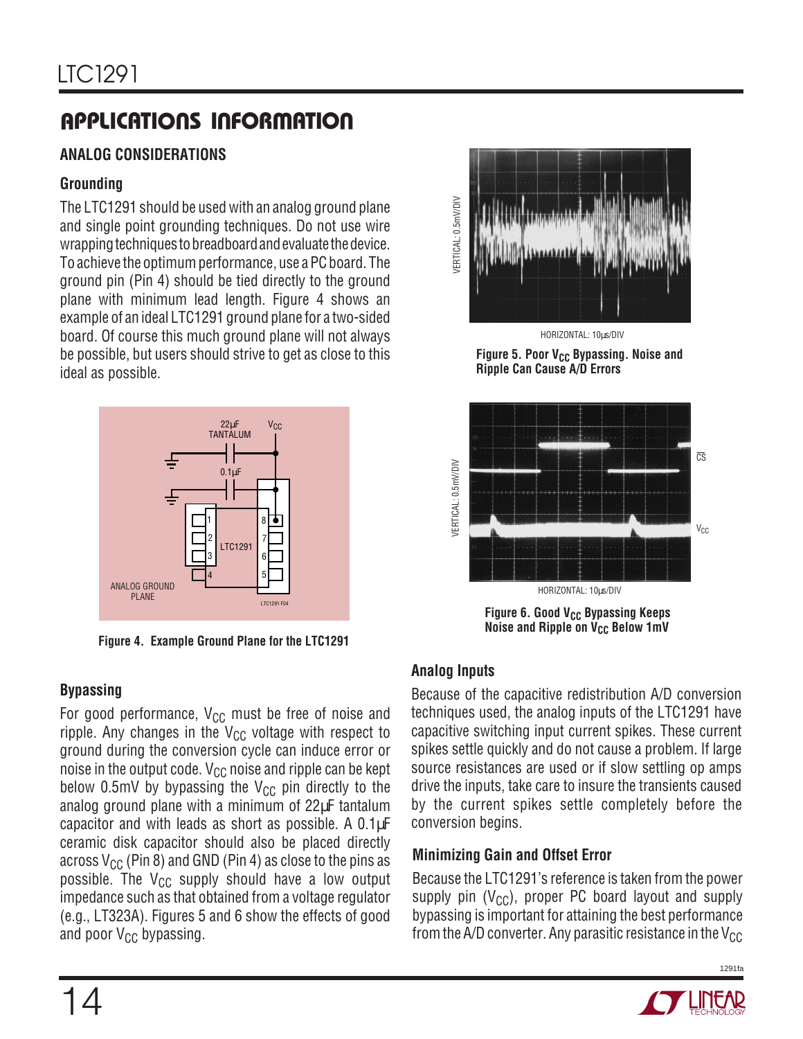### **ANALOG CONSIDERATIONS**

#### **Grounding**

The LTC1291 should be used with an analog ground plane and single point grounding techniques. Do not use wire wrapping techniques to breadboard and evaluate the device. To achieve the optimum performance, use a PC board. The ground pin (Pin 4) should be tied directly to the ground plane with minimum lead length. Figure 4 shows an example of an ideal LTC1291 ground plane for a two-sided board. Of course this much ground plane will not always be possible, but users should strive to get as close to this ideal as possible.



**Figure 4. Example Ground Plane for the LTC1291**

#### **Bypassing**

For good performance,  $V_{CC}$  must be free of noise and ripple. Any changes in the  $V_{CC}$  voltage with respect to ground during the conversion cycle can induce error or noise in the output code.  $V_{CC}$  noise and ripple can be kept below 0.5mV by bypassing the  $V_{CC}$  pin directly to the analog ground plane with a minimum of 22µF tantalum capacitor and with leads as short as possible. A 0.1µF ceramic disk capacitor should also be placed directly across  $V_{CC}$  (Pin 8) and GND (Pin 4) as close to the pins as possible. The  $V_{CC}$  supply should have a low output impedance such as that obtained from a voltage regulator (e.g., LT323A). Figures 5 and 6 show the effects of good and poor  $V_{CC}$  bypassing.



HORIZONTAL: 10µs/DIV

Figure 5. Poor V<sub>CC</sub> Bypassing. Noise and **Ripple Can Cause A/D Errors**



#### **Analog Inputs**

Because of the capacitive redistribution A/D conversion techniques used, the analog inputs of the LTC1291 have capacitive switching input current spikes. These current spikes settle quickly and do not cause a problem. If large source resistances are used or if slow settling op amps drive the inputs, take care to insure the transients caused by the current spikes settle completely before the conversion begins.

### **Minimizing Gain and Offset Error**

Because the LTC1291's reference is taken from the power supply pin  $(V_{CC})$ , proper PC board layout and supply bypassing is important for attaining the best performance from the A/D converter. Any parasitic resistance in the  $V_{CC}$ 

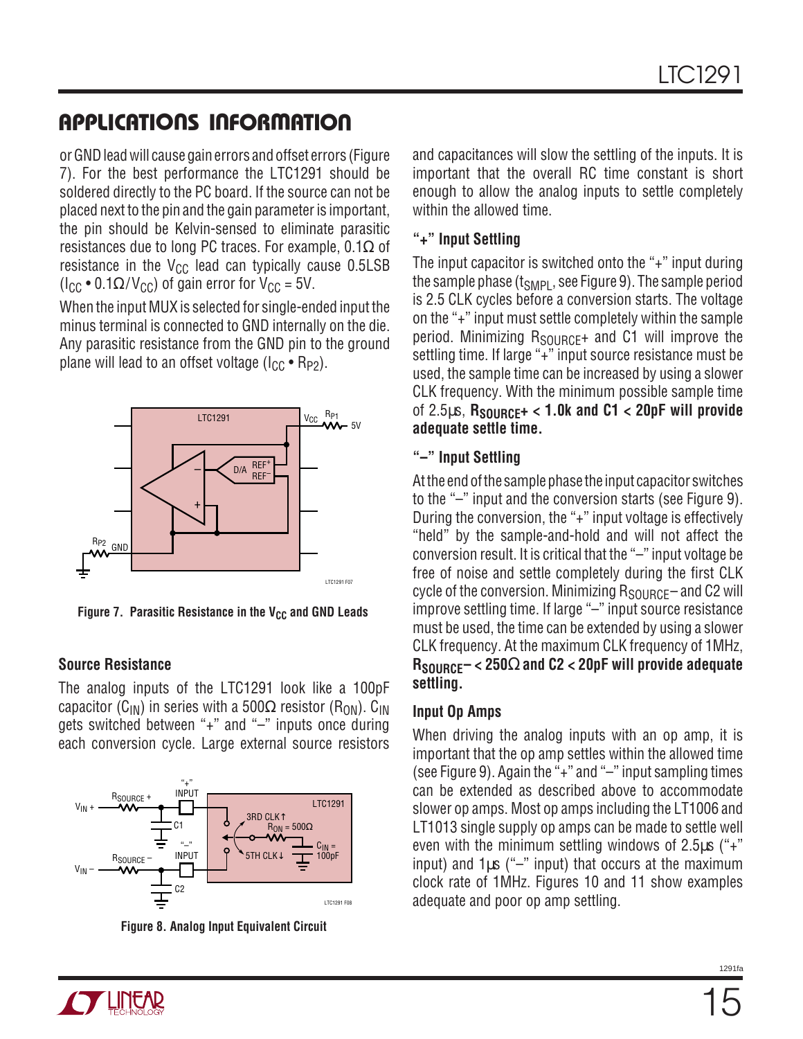or GND lead will cause gain errors and offset errors (Figure 7). For the best performance the LTC1291 should be soldered directly to the PC board. If the source can not be placed next to the pin and the gain parameter is important, the pin should be Kelvin-sensed to eliminate parasitic resistances due to long PC traces. For example,  $0.1\Omega$  of resistance in the  $V_{CC}$  lead can typically cause 0.5LSB  $(I_{CC} \cdot 0.1 \Omega / V_{CC})$  of gain error for  $V_{CC} = 5V$ .

When the input MUX is selected for single-ended input the minus terminal is connected to GND internally on the die. Any parasitic resistance from the GND pin to the ground plane will lead to an offset voltage ( $I_{CC} \cdot R_{P2}$ ).



Figure 7. Parasitic Resistance in the V<sub>CC</sub> and GND Leads

#### **Source Resistance**

The analog inputs of the LTC1291 look like a 100pF capacitor (C<sub>IN</sub>) in series with a 500 $\Omega$  resistor (R<sub>ON</sub>). C<sub>IN</sub> gets switched between "+" and "–" inputs once during each conversion cycle. Large external source resistors



**Figure 8. Analog Input Equivalent Circuit**

and capacitances will slow the settling of the inputs. It is important that the overall RC time constant is short enough to allow the analog inputs to settle completely within the allowed time.

#### **"+" Input Settling**

The input capacitor is switched onto the "+" input during the sample phase  $(t_{SMPL},$  see Figure 9). The sample period is 2.5 CLK cycles before a conversion starts. The voltage on the "+" input must settle completely within the sample period. Minimizing  $R_{\text{SOLRCF}}$ + and C1 will improve the settling time. If large "+" input source resistance must be used, the sample time can be increased by using a slower CLK frequency. With the minimum possible sample time of 2.5µs, **RSOURCE+ < 1.0k and C1 < 20pF will provide adequate settle time.**

#### **"–" Input Settling**

At the end of the sample phase the input capacitor switches to the "–" input and the conversion starts (see Figure 9). During the conversion, the "+" input voltage is effectively "held" by the sample-and-hold and will not affect the conversion result. It is critical that the "–" input voltage be free of noise and settle completely during the first CLK cycle of the conversion. Minimizing  $R_{\text{SOLIRCF}}$  and C2 will improve settling time. If large "–" input source resistance must be used, the time can be extended by using a slower CLK frequency. At the maximum CLK frequency of 1MHz, **RSOURCE– < 250**Ω **and C2 < 20pF will provide adequate settling.**

#### **Input Op Amps**

When driving the analog inputs with an op amp, it is important that the op amp settles within the allowed time (see Figure 9). Again the "+" and "–" input sampling times can be extended as described above to accommodate slower op amps. Most op amps including the LT1006 and LT1013 single supply op amps can be made to settle well even with the minimum settling windows of 2.5µs ("+" input) and  $1\mu s$  ("-" input) that occurs at the maximum clock rate of 1MHz. Figures 10 and 11 show examples adequate and poor op amp settling.



1291f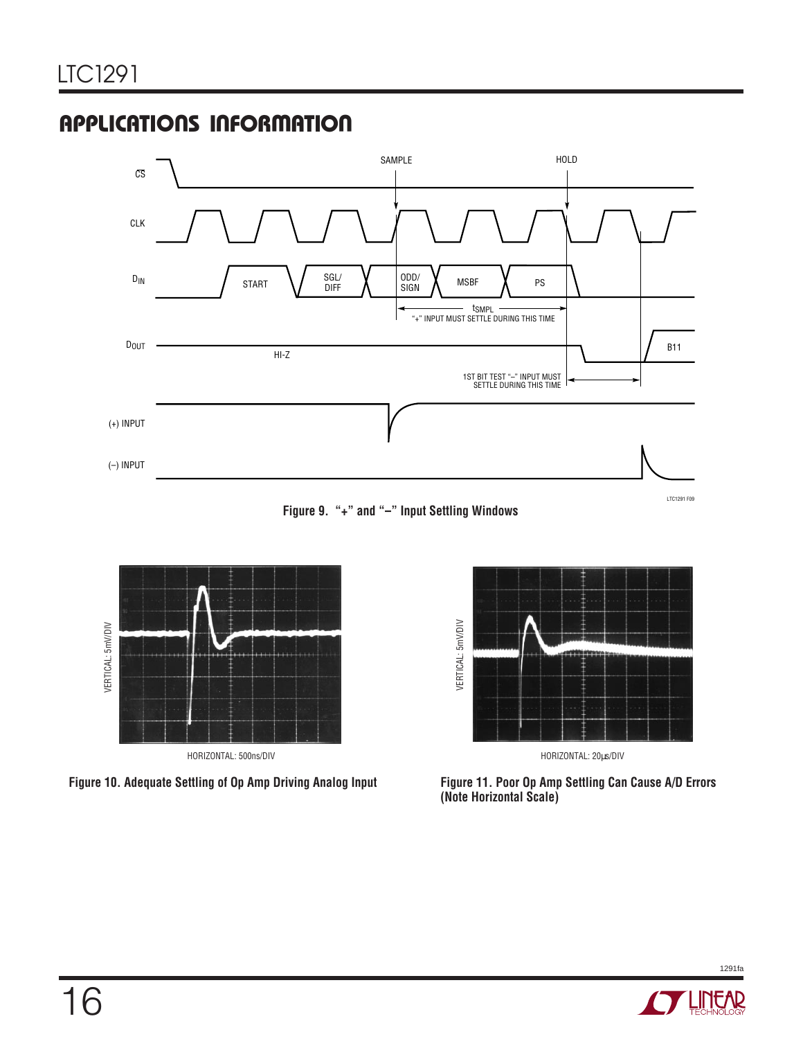

**Figure 9. "+" and "–" Input Settling Windows**







**Figure 11. Poor Op Amp Settling Can Cause A/D Errors**

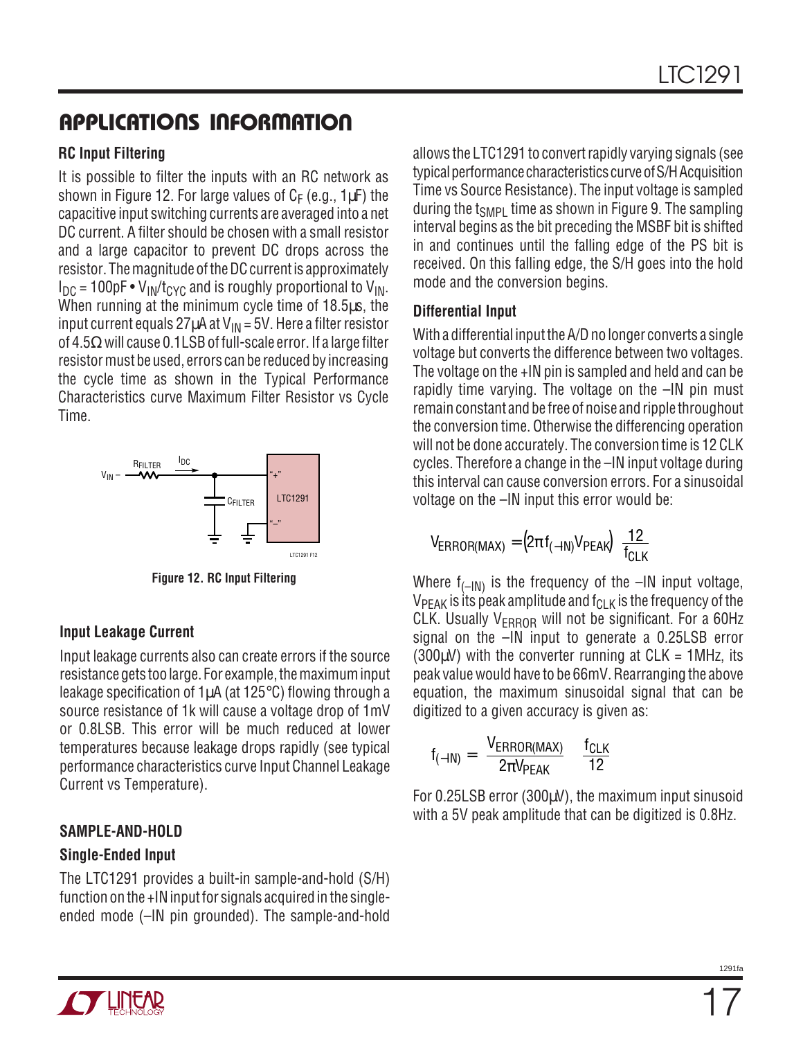#### **RC Input Filtering**

It is possible to filter the inputs with an RC network as shown in Figure 12. For large values of  $C_F$  (e.g., 1 $\mu$ F) the capacitive input switching currents are averaged into a net DC current. A filter should be chosen with a small resistor and a large capacitor to prevent DC drops across the resistor. The magnitude of the DC current is approximately  $I_{DC}$  = 100pF •  $V_{IN}/t_{CYC}$  and is roughly proportional to  $V_{IN}$ . When running at the minimum cycle time of 18.5µs, the input current equals  $27 \mu A$  at  $V_{\text{IN}} = 5V$ . Here a filter resistor of 4.5 $\Omega$  will cause 0.1LSB of full-scale error. If a large filter resistor must be used, errors can be reduced by increasing the cycle time as shown in the Typical Performance Characteristics curve Maximum Filter Resistor vs Cycle Time.



**Figure 12. RC Input Filtering**

#### **Input Leakage Current**

Input leakage currents also can create errors if the source resistance gets too large. For example, the maximum input leakage specification of 1µA (at 125°C) flowing through a source resistance of 1k will cause a voltage drop of 1mV or 0.8LSB. This error will be much reduced at lower temperatures because leakage drops rapidly (see typical performance characteristics curve Input Channel Leakage Current vs Temperature).

### **SAMPLE-AND-HOLD**

### **Single-Ended Input**

The LTC1291 provides a built-in sample-and-hold (S/H) function on the +IN input for signals acquired in the singleended mode (–IN pin grounded). The sample-and-hold allows the LTC1291 to convert rapidly varying signals (see typical performance characteristics curve of S/H Acquisition Time vs Source Resistance). The input voltage is sampled during the  $t_{SMP1}$  time as shown in Figure 9. The sampling interval begins as the bit preceding the MSBF bit is shifted in and continues until the falling edge of the PS bit is received. On this falling edge, the S/H goes into the hold mode and the conversion begins.

#### **Differential Input**

With a differential input the A/D no longer converts a single voltage but converts the difference between two voltages. The voltage on the +IN pin is sampled and held and can be rapidly time varying. The voltage on the –IN pin must remain constant and be free of noise and ripple throughout the conversion time. Otherwise the differencing operation will not be done accurately. The conversion time is 12 CLK cycles. Therefore a change in the –IN input voltage during this interval can cause conversion errors. For a sinusoidal voltage on the –IN input this error would be:

$$
V_{ERROR(MAX)} = (2\pi f_{(-IN)}V_{PEAK})\left(\frac{12}{f_{CLK}}\right)
$$

Where  $f_{(-|N)}$  is the frequency of the  $-N$  input voltage,  $V_{\text{PFAK}}$  is its peak amplitude and  $f_{\text{CLK}}$  is the frequency of the CLK. Usually V<sub>ERROR</sub> will not be significant. For a 60Hz signal on the –IN input to generate a 0.25LSB error  $(300\mu V)$  with the converter running at CLK = 1MHz, its peak value would have to be 66mV. Rearranging the above equation, the maximum sinusoidal signal that can be digitized to a given accuracy is given as:

$$
f_{(-IN)} = \left(\frac{V_{ERROR(MAX)}}{2\pi V_{PEAK}}\right) \left(\frac{f_{CLK}}{12}\right)
$$

For 0.25LSB error (300µV), the maximum input sinusoid with a 5V peak amplitude that can be digitized is 0.8Hz.

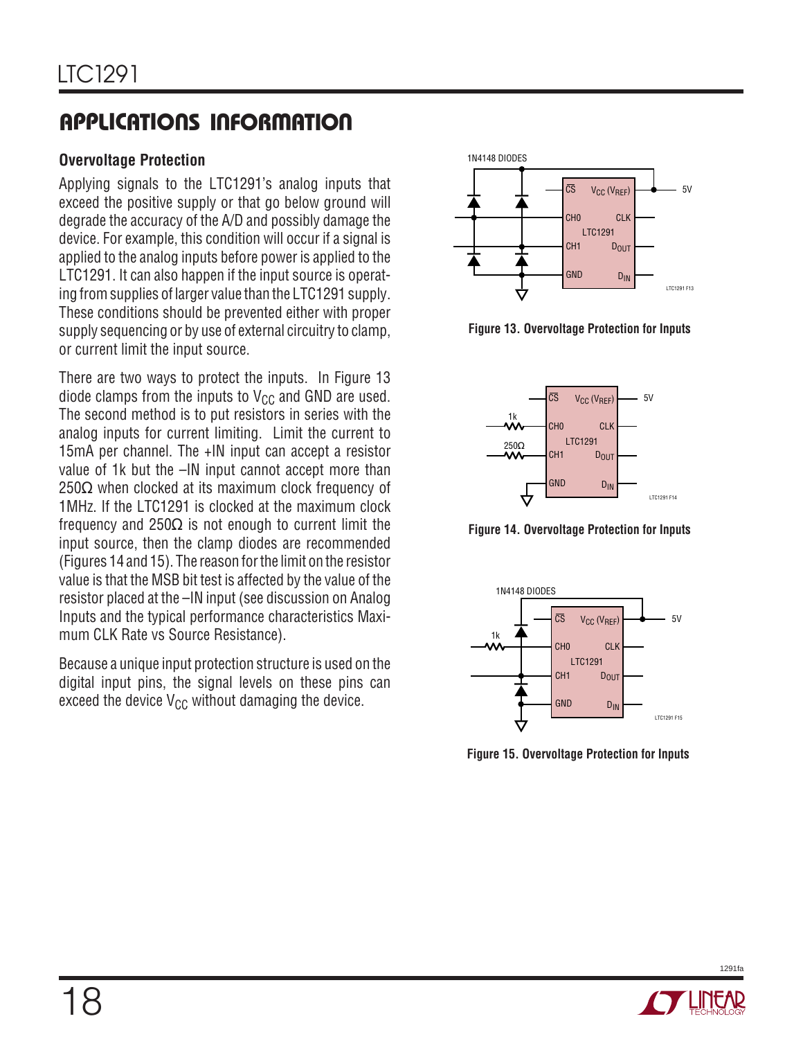#### **Overvoltage Protection**

Applying signals to the LTC1291's analog inputs that exceed the positive supply or that go below ground will degrade the accuracy of the A/D and possibly damage the device. For example, this condition will occur if a signal is applied to the analog inputs before power is applied to the LTC1291. It can also happen if the input source is operating from supplies of larger value than the LTC1291 supply. These conditions should be prevented either with proper supply sequencing or by use of external circuitry to clamp, or current limit the input source.

There are two ways to protect the inputs. In Figure 13 diode clamps from the inputs to  $V_{CC}$  and GND are used. The second method is to put resistors in series with the analog inputs for current limiting. Limit the current to 15mA per channel. The +IN input can accept a resistor value of 1k but the –IN input cannot accept more than  $250Ω$  when clocked at its maximum clock frequency of 1MHz. If the LTC1291 is clocked at the maximum clock frequency and 250 $\Omega$  is not enough to current limit the input source, then the clamp diodes are recommended (Figures 14 and 15). The reason for the limit on the resistor value is that the MSB bit test is affected by the value of the resistor placed at the –IN input (see discussion on Analog Inputs and the typical performance characteristics Maximum CLK Rate vs Source Resistance).

Because a unique input protection structure is used on the digital input pins, the signal levels on these pins can exceed the device  $V_{CC}$  without damaging the device.



**Figure 13. Overvoltage Protection for Inputs**



**Figure 14. Overvoltage Protection for Inputs**



**Figure 15. Overvoltage Protection for Inputs**

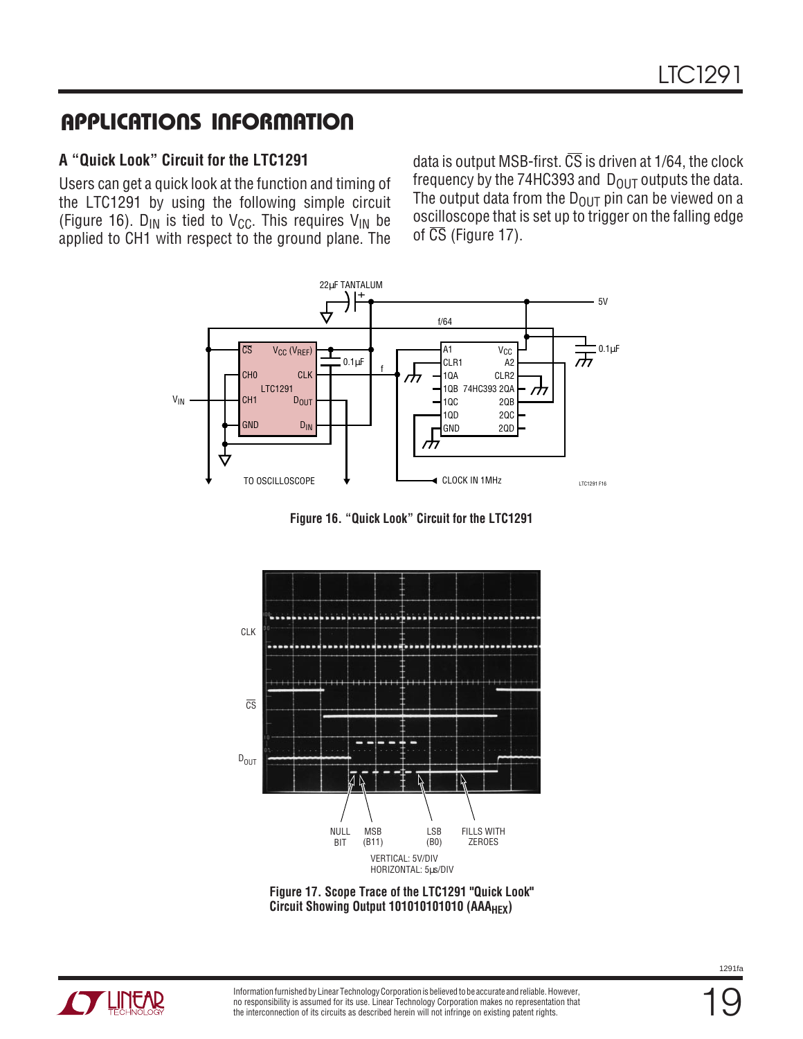### **APPLICATIONS INFORMATION**

#### **A "Quick Look" Circuit for the LTC1291**

Users can get a quick look at the function and timing of the LTC1291 by using the following simple circuit (Figure 16).  $D_{IN}$  is tied to V<sub>CC</sub>. This requires V<sub>IN</sub> be applied to CH1 with respect to the ground plane. The

data is output MSB-first.  $\overline{\text{CS}}$  is driven at 1/64, the clock frequency by the 74HC393 and  $D<sub>OUT</sub>$  outputs the data. The output data from the  $D_{OUT}$  pin can be viewed on a oscilloscope that is set up to trigger on the falling edge of  $\overline{\text{CS}}$  (Figure 17).



**Figure 16. "Quick Look" Circuit for the LTC1291**







19